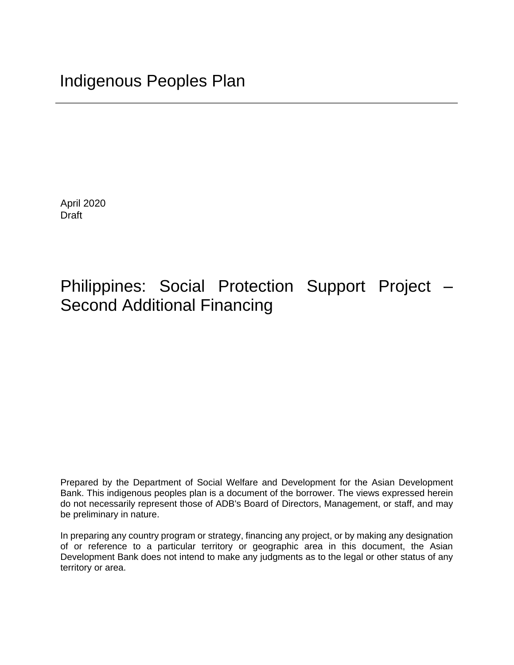April 2020 Draft

# Philippines: Social Protection Support Project – Second Additional Financing

Prepared by the Department of Social Welfare and Development for the Asian Development Bank. This indigenous peoples plan is a document of the borrower. The views expressed herein do not necessarily represent those of ADB's Board of Directors, Management, or staff, and may be preliminary in nature.

In preparing any country program or strategy, financing any project, or by making any designation of or reference to a particular territory or geographic area in this document, the Asian Development Bank does not intend to make any judgments as to the legal or other status of any territory or area.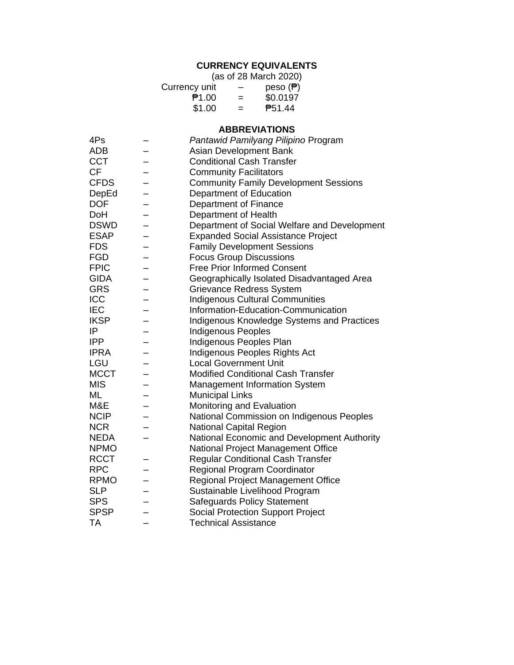# **CURRENCY EQUIVALENTS**

|               |                          | (as of 28 March 2020) |
|---------------|--------------------------|-----------------------|
| Currency unit | $\overline{\phantom{0}}$ | peso $(\bar{P})$      |
| P1.00         | $=$                      | \$0.0197              |
| \$1.00        | $=$                      | <b>P51.44</b>         |

# **ABBREVIATIONS**

| 4Ps         | Pantawid Pamilyang Pilipino Program          |
|-------------|----------------------------------------------|
| ADB         | Asian Development Bank                       |
| <b>CCT</b>  | <b>Conditional Cash Transfer</b>             |
| <b>CF</b>   | <b>Community Facilitators</b>                |
| <b>CFDS</b> | <b>Community Family Development Sessions</b> |
| DepEd       | Department of Education                      |
| <b>DOF</b>  | Department of Finance                        |
| DoH         | Department of Health                         |
| <b>DSWD</b> | Department of Social Welfare and Development |
| <b>ESAP</b> | <b>Expanded Social Assistance Project</b>    |
| <b>FDS</b>  | <b>Family Development Sessions</b>           |
| <b>FGD</b>  | <b>Focus Group Discussions</b>               |
| <b>FPIC</b> | <b>Free Prior Informed Consent</b>           |
| <b>GIDA</b> | Geographically Isolated Disadvantaged Area   |
| <b>GRS</b>  | <b>Grievance Redress System</b>              |
| ICC         | <b>Indigenous Cultural Communities</b>       |
| <b>IEC</b>  | Information-Education-Communication          |
| <b>IKSP</b> | Indigenous Knowledge Systems and Practices   |
| IP          | <b>Indigenous Peoples</b>                    |
| <b>IPP</b>  | Indigenous Peoples Plan                      |
| <b>IPRA</b> | Indigenous Peoples Rights Act                |
| LGU         | <b>Local Government Unit</b>                 |
| <b>MCCT</b> | <b>Modified Conditional Cash Transfer</b>    |
| <b>MIS</b>  | <b>Management Information System</b>         |
| ML          | <b>Municipal Links</b>                       |
| M&E         | Monitoring and Evaluation                    |
| <b>NCIP</b> | National Commission on Indigenous Peoples    |
| <b>NCR</b>  | <b>National Capital Region</b>               |
| <b>NEDA</b> | National Economic and Development Authority  |
| <b>NPMO</b> | National Project Management Office           |
| <b>RCCT</b> | <b>Regular Conditional Cash Transfer</b>     |
| <b>RPC</b>  | <b>Regional Program Coordinator</b>          |
| <b>RPMO</b> | <b>Regional Project Management Office</b>    |
| <b>SLP</b>  | Sustainable Livelihood Program               |
| <b>SPS</b>  | <b>Safeguards Policy Statement</b>           |
| <b>SPSP</b> | <b>Social Protection Support Project</b>     |
| <b>TA</b>   | <b>Technical Assistance</b>                  |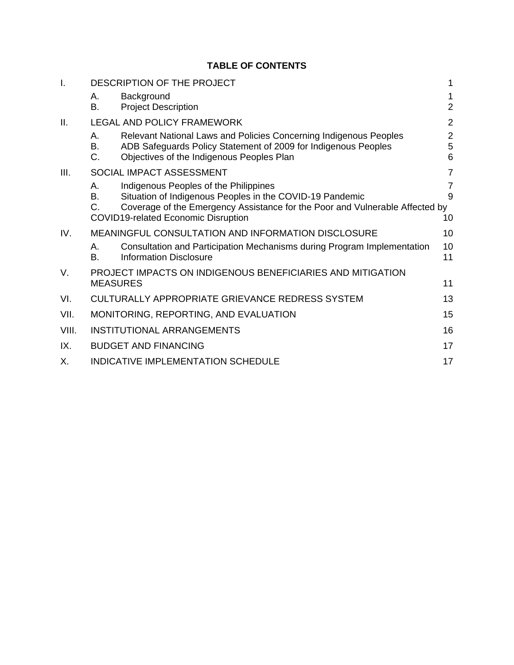# **TABLE OF CONTENTS**

| $\mathsf{L}$ |                | DESCRIPTION OF THE PROJECT                                                                                                                                                                                                      | 1                                      |
|--------------|----------------|---------------------------------------------------------------------------------------------------------------------------------------------------------------------------------------------------------------------------------|----------------------------------------|
|              | А.<br>В.       | Background<br><b>Project Description</b>                                                                                                                                                                                        | 1<br>$\overline{2}$                    |
| II.          |                | <b>LEGAL AND POLICY FRAMEWORK</b>                                                                                                                                                                                               | $\overline{2}$                         |
|              | А.<br>В.<br>C. | Relevant National Laws and Policies Concerning Indigenous Peoples<br>ADB Safeguards Policy Statement of 2009 for Indigenous Peoples<br>Objectives of the Indigenous Peoples Plan                                                | $\overline{2}$<br>5<br>$6\phantom{1}6$ |
| III.         |                | SOCIAL IMPACT ASSESSMENT                                                                                                                                                                                                        | 7                                      |
|              | А.<br>В.<br>C. | Indigenous Peoples of the Philippines<br>Situation of Indigenous Peoples in the COVID-19 Pandemic<br>Coverage of the Emergency Assistance for the Poor and Vulnerable Affected by<br><b>COVID19-related Economic Disruption</b> | $\overline{7}$<br>9<br>10              |
| IV.          |                | MEANINGFUL CONSULTATION AND INFORMATION DISCLOSURE                                                                                                                                                                              | 10                                     |
|              | Α.<br>Β.       | Consultation and Participation Mechanisms during Program Implementation<br><b>Information Disclosure</b>                                                                                                                        | 10<br>11                               |
| V.           |                | PROJECT IMPACTS ON INDIGENOUS BENEFICIARIES AND MITIGATION<br><b>MEASURES</b>                                                                                                                                                   | 11                                     |
| VI.          |                | CULTURALLY APPROPRIATE GRIEVANCE REDRESS SYSTEM                                                                                                                                                                                 | 13                                     |
| VII.         |                | MONITORING, REPORTING, AND EVALUATION                                                                                                                                                                                           | 15                                     |
| VIII.        |                | <b>INSTITUTIONAL ARRANGEMENTS</b>                                                                                                                                                                                               | 16                                     |
| IX.          |                | <b>BUDGET AND FINANCING</b>                                                                                                                                                                                                     | 17                                     |
| Х.           |                | INDICATIVE IMPLEMENTATION SCHEDULE                                                                                                                                                                                              | 17                                     |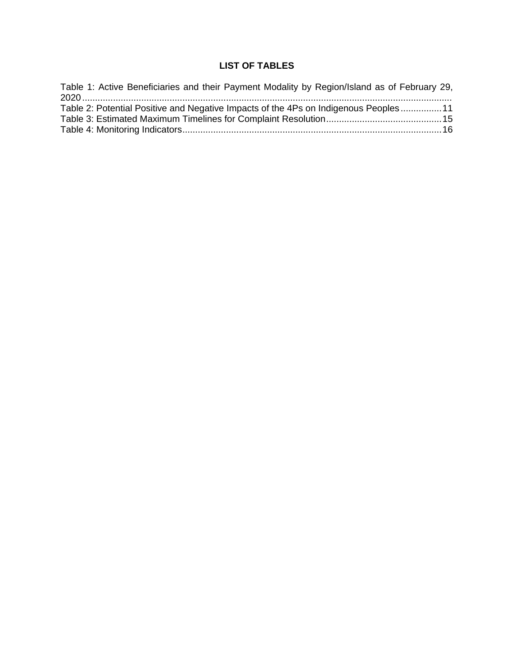# **LIST OF TABLES**

| Table 1: Active Beneficiaries and their Payment Modality by Region/Island as of February 29, |  |
|----------------------------------------------------------------------------------------------|--|
|                                                                                              |  |
| Table 2: Potential Positive and Negative Impacts of the 4Ps on Indigenous Peoples11          |  |
|                                                                                              |  |
|                                                                                              |  |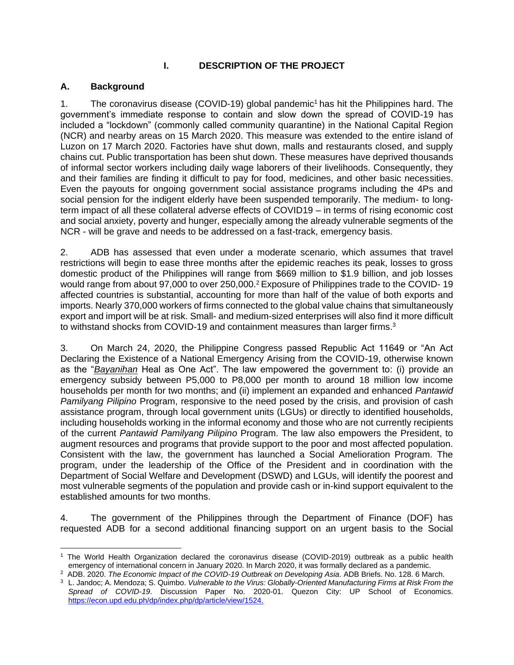#### **I. DESCRIPTION OF THE PROJECT**

#### <span id="page-4-1"></span><span id="page-4-0"></span>**A. Background**

1. The coronavirus disease (COVID-19) global pandemic<sup>1</sup> has hit the Philippines hard. The government's immediate response to contain and slow down the spread of COVID-19 has included a "lockdown" (commonly called community quarantine) in the National Capital Region (NCR) and nearby areas on 15 March 2020. This measure was extended to the entire island of Luzon on 17 March 2020. Factories have shut down, malls and restaurants closed, and supply chains cut. Public transportation has been shut down. These measures have deprived thousands of informal sector workers including daily wage laborers of their livelihoods. Consequently, they and their families are finding it difficult to pay for food, medicines, and other basic necessities. Even the payouts for ongoing government social assistance programs including the 4Ps and social pension for the indigent elderly have been suspended temporarily. The medium- to longterm impact of all these collateral adverse effects of COVID19 – in terms of rising economic cost and social anxiety, poverty and hunger, especially among the already vulnerable segments of the NCR - will be grave and needs to be addressed on a fast-track, emergency basis.

2. ADB has assessed that even under a moderate scenario, which assumes that travel restrictions will begin to ease three months after the epidemic reaches its peak, losses to gross domestic product of the Philippines will range from \$669 million to \$1.9 billion, and job losses would range from about 97,000 to over 250,000.<sup>2</sup> Exposure of Philippines trade to the COVID-19 affected countries is substantial, accounting for more than half of the value of both exports and imports. Nearly 370,000 workers of firms connected to the global value chains that simultaneously export and import will be at risk. Small- and medium-sized enterprises will also find it more difficult to withstand shocks from COVID-19 and containment measures than larger firms.<sup>3</sup>

3. On March 24, 2020, the Philippine Congress passed Republic Act 11649 or "An Act Declaring the Existence of a National Emergency Arising from the COVID-19, otherwise known as the "*Bayanihan* Heal as One Act". The law empowered the government to: (i) provide an emergency subsidy between P5,000 to P8,000 per month to around 18 million low income households per month for two months; and (ii) implement an expanded and enhanced *Pantawid Pamilyang Pilipino* Program, responsive to the need posed by the crisis, and provision of cash assistance program, through local government units (LGUs) or directly to identified households, including households working in the informal economy and those who are not currently recipients of the current *Pantawid Pamilyang Pilipino* Program. The law also empowers the President, to augment resources and programs that provide support to the poor and most affected population. Consistent with the law, the government has launched a Social Amelioration Program. The program, under the leadership of the Office of the President and in coordination with the Department of Social Welfare and Development (DSWD) and LGUs, will identify the poorest and most vulnerable segments of the population and provide cash or in-kind support equivalent to the established amounts for two months.

4. The government of the Philippines through the Department of Finance (DOF) has requested ADB for a second additional financing support on an urgent basis to the Social

<sup>1</sup> The World Health Organization declared the coronavirus disease (COVID-2019) outbreak as a public health emergency of international concern in January 2020. In March 2020, it was formally declared as a pandemic.

<sup>2</sup> ADB. 2020. *The Economic Impact of the COVID-19 Outbreak on Developing Asia*. ADB Briefs. No. 128. 6 March.

<sup>3</sup> L. Jandoc; A. Mendoza; S. Quimbo. *Vulnerable to the Virus: Globally-Oriented Manufacturing Firms at Risk From the Spread of COVID-19*. Discussion Paper No. 2020-01. Quezon City: UP School of Economics. [https://econ.upd.edu.ph/dp/index.php/dp/article/view/1524.](https://econ.upd.edu.ph/dp/index.php/dp/article/view/1524)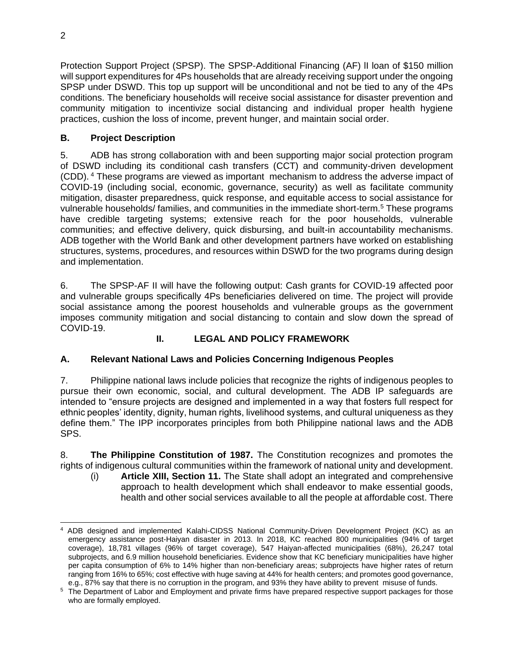Protection Support Project (SPSP). The SPSP-Additional Financing (AF) lI loan of \$150 million will support expenditures for 4Ps households that are already receiving support under the ongoing SPSP under DSWD. This top up support will be unconditional and not be tied to any of the 4Ps conditions. The beneficiary households will receive social assistance for disaster prevention and community mitigation to incentivize social distancing and individual proper health hygiene practices, cushion the loss of income, prevent hunger, and maintain social order.

# <span id="page-5-0"></span>**B. Project Description**

5. ADB has strong collaboration with and been supporting major social protection program of DSWD including its conditional cash transfers (CCT) and community-driven development (CDD). <sup>4</sup> These programs are viewed as important mechanism to address the adverse impact of COVID-19 (including social, economic, governance, security) as well as facilitate community mitigation, disaster preparedness, quick response, and equitable access to social assistance for vulnerable households/ families, and communities in the immediate short-term.<sup>5</sup> These programs have credible targeting systems; extensive reach for the poor households, vulnerable communities; and effective delivery, quick disbursing, and built-in accountability mechanisms. ADB together with the World Bank and other development partners have worked on establishing structures, systems, procedures, and resources within DSWD for the two programs during design and implementation.

6. The SPSP-AF II will have the following output: Cash grants for COVID-19 affected poor and vulnerable groups specifically 4Ps beneficiaries delivered on time. The project will provide social assistance among the poorest households and vulnerable groups as the government imposes community mitigation and social distancing to contain and slow down the spread of COVID-19.

# **II. LEGAL AND POLICY FRAMEWORK**

# <span id="page-5-2"></span><span id="page-5-1"></span>**A. Relevant National Laws and Policies Concerning Indigenous Peoples**

7. Philippine national laws include policies that recognize the rights of indigenous peoples to pursue their own economic, social, and cultural development. The ADB IP safeguards are intended to "ensure projects are designed and implemented in a way that fosters full respect for ethnic peoples' identity, dignity, human rights, livelihood systems, and cultural uniqueness as they define them." The IPP incorporates principles from both Philippine national laws and the ADB SPS.

8. **The Philippine Constitution of 1987.** The Constitution recognizes and promotes the rights of indigenous cultural communities within the framework of national unity and development.

(i) **Article XIII, Section 11.** The State shall adopt an integrated and comprehensive approach to health development which shall endeavor to make essential goods, health and other social services available to all the people at affordable cost. There

<sup>4</sup> ADB designed and implemented Kalahi-CIDSS National Community-Driven Development Project (KC) as an emergency assistance post-Haiyan disaster in 2013. In 2018, KC reached 800 municipalities (94% of target coverage), 18,781 villages (96% of target coverage), 547 Haiyan-affected municipalities (68%), 26,247 total subprojects, and 6.9 million household beneficiaries. Evidence show that KC beneficiary municipalities have higher per capita consumption of 6% to 14% higher than non-beneficiary areas; subprojects have higher rates of return ranging from 16% to 65%; cost effective with huge saving at 44% for health centers; and promotes good governance, e.g., 87% say that there is no corruption in the program, and 93% they have ability to prevent misuse of funds.

<sup>&</sup>lt;sup>5</sup> The Department of Labor and Employment and private firms have prepared respective support packages for those who are formally employed.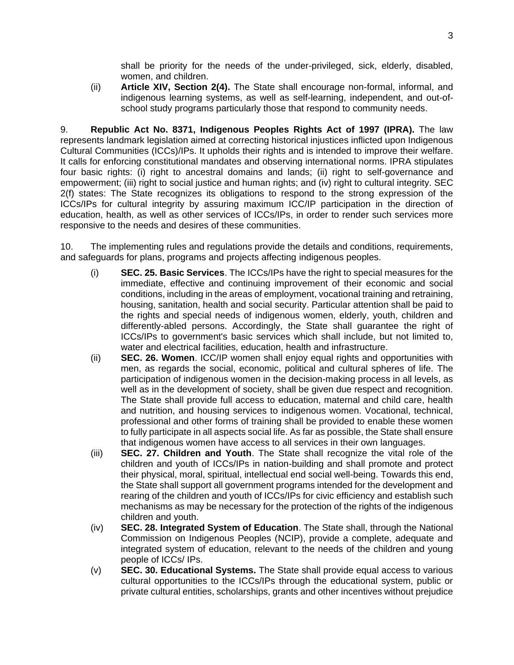shall be priority for the needs of the under-privileged, sick, elderly, disabled, women, and children.

(ii) **Article XIV, Section 2(4).** The State shall encourage non-formal, informal, and indigenous learning systems, as well as self-learning, independent, and out-ofschool study programs particularly those that respond to community needs.

9. **Republic Act No. 8371, Indigenous Peoples Rights Act of 1997 (IPRA).** The law represents landmark legislation aimed at correcting historical injustices inflicted upon Indigenous Cultural Communities (ICCs)/IPs. It upholds their rights and is intended to improve their welfare. It calls for enforcing constitutional mandates and observing international norms. IPRA stipulates four basic rights: (i) right to ancestral domains and lands; (ii) right to self-governance and empowerment; (iii) right to social justice and human rights; and (iv) right to cultural integrity. SEC 2(f) states: The State recognizes its obligations to respond to the strong expression of the ICCs/IPs for cultural integrity by assuring maximum ICC/IP participation in the direction of education, health, as well as other services of ICCs/IPs, in order to render such services more responsive to the needs and desires of these communities.

10. The implementing rules and regulations provide the details and conditions, requirements, and safeguards for plans, programs and projects affecting indigenous peoples.

- (i) **SEC. 25. Basic Services**. The ICCs/IPs have the right to special measures for the immediate, effective and continuing improvement of their economic and social conditions, including in the areas of employment, vocational training and retraining, housing, sanitation, health and social security. Particular attention shall be paid to the rights and special needs of indigenous women, elderly, youth, children and differently-abled persons. Accordingly, the State shall guarantee the right of ICCs/IPs to government's basic services which shall include, but not limited to, water and electrical facilities, education, health and infrastructure.
- (ii) **SEC. 26. Women**. ICC/IP women shall enjoy equal rights and opportunities with men, as regards the social, economic, political and cultural spheres of life. The participation of indigenous women in the decision-making process in all levels, as well as in the development of society, shall be given due respect and recognition. The State shall provide full access to education, maternal and child care, health and nutrition, and housing services to indigenous women. Vocational, technical, professional and other forms of training shall be provided to enable these women to fully participate in all aspects social life. As far as possible, the State shall ensure that indigenous women have access to all services in their own languages.
- (iii) **SEC. 27. Children and Youth**. The State shall recognize the vital role of the children and youth of ICCs/IPs in nation-building and shall promote and protect their physical, moral, spiritual, intellectual end social well-being. Towards this end, the State shall support all government programs intended for the development and rearing of the children and youth of ICCs/IPs for civic efficiency and establish such mechanisms as may be necessary for the protection of the rights of the indigenous children and youth.
- (iv) **SEC. 28. Integrated System of Education**. The State shall, through the National Commission on Indigenous Peoples (NCIP), provide a complete, adequate and integrated system of education, relevant to the needs of the children and young people of ICCs/ IPs.
- (v) **SEC. 30. Educational Systems.** The State shall provide equal access to various cultural opportunities to the ICCs/IPs through the educational system, public or private cultural entities, scholarships, grants and other incentives without prejudice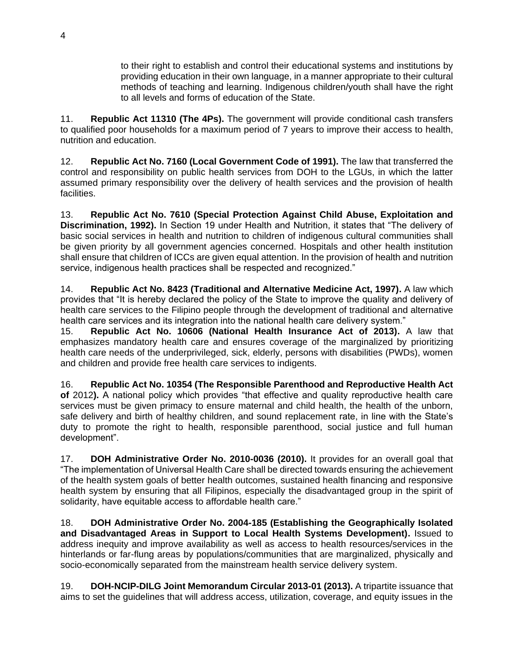to their right to establish and control their educational systems and institutions by providing education in their own language, in a manner appropriate to their cultural methods of teaching and learning. Indigenous children/youth shall have the right to all levels and forms of education of the State.

11. **Republic Act 11310 (The 4Ps).** The government will provide conditional cash transfers to qualified poor households for a maximum period of 7 years to improve their access to health, nutrition and education.

12. **Republic Act No. 7160 (Local Government Code of 1991).** The law that transferred the control and responsibility on public health services from DOH to the LGUs, in which the latter assumed primary responsibility over the delivery of health services and the provision of health facilities.

13. **Republic Act No. 7610 (Special Protection Against Child Abuse, Exploitation and Discrimination, 1992).** In Section 19 under Health and Nutrition, it states that "The delivery of basic social services in health and nutrition to children of indigenous cultural communities shall be given priority by all government agencies concerned. Hospitals and other health institution shall ensure that children of ICCs are given equal attention. In the provision of health and nutrition service, indigenous health practices shall be respected and recognized."

14. **Republic Act No. 8423 (Traditional and Alternative Medicine Act, 1997).** A law which provides that "It is hereby declared the policy of the State to improve the quality and delivery of health care services to the Filipino people through the development of traditional and alternative health care services and its integration into the national health care delivery system."

15. **Republic Act No. 10606 (National Health Insurance Act of 2013).** A law that emphasizes mandatory health care and ensures coverage of the marginalized by prioritizing health care needs of the underprivileged, sick, elderly, persons with disabilities (PWDs), women and children and provide free health care services to indigents.

16. **Republic Act No. 10354 (The Responsible Parenthood and Reproductive Health Act of** 2012**).** A national policy which provides "that effective and quality reproductive health care services must be given primacy to ensure maternal and child health, the health of the unborn, safe delivery and birth of healthy children, and sound replacement rate, in line with the State's duty to promote the right to health, responsible parenthood, social justice and full human development".

17. **DOH Administrative Order No. 2010-0036 (2010).** It provides for an overall goal that "The implementation of Universal Health Care shall be directed towards ensuring the achievement of the health system goals of better health outcomes, sustained health financing and responsive health system by ensuring that all Filipinos, especially the disadvantaged group in the spirit of solidarity, have equitable access to affordable health care."

18. **DOH Administrative Order No. 2004-185 (Establishing the Geographically Isolated and Disadvantaged Areas in Support to Local Health Systems Development).** Issued to address inequity and improve availability as well as access to health resources/services in the hinterlands or far-flung areas by populations/communities that are marginalized, physically and socio-economically separated from the mainstream health service delivery system.

19. **DOH-NCIP-DILG Joint Memorandum Circular 2013-01 (2013).** A tripartite issuance that aims to set the guidelines that will address access, utilization, coverage, and equity issues in the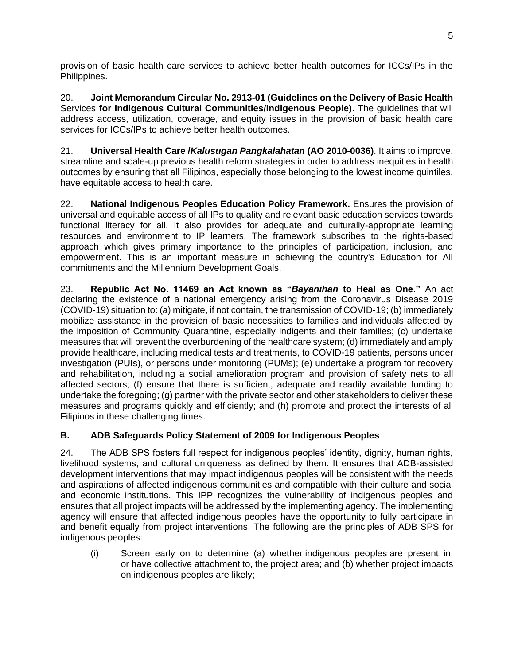provision of basic health care services to achieve better health outcomes for ICCs/IPs in the Philippines.

20. **Joint Memorandum Circular No. 2913-01 (Guidelines on the Delivery of Basic Health**  Services **for Indigenous Cultural Communities/Indigenous People)**. The guidelines that will address access, utilization, coverage, and equity issues in the provision of basic health care services for ICCs/IPs to achieve better health outcomes.

21. **Universal Health Care /***Kalusugan Pangkalahatan* **(AO 2010-0036)**. It aims to improve, streamline and scale-up previous health reform strategies in order to address inequities in health outcomes by ensuring that all Filipinos, especially those belonging to the lowest income quintiles, have equitable access to health care.

22. **National Indigenous Peoples Education Policy Framework.** Ensures the provision of universal and equitable access of all IPs to quality and relevant basic education services towards functional literacy for all. It also provides for adequate and culturally-appropriate learning resources and environment to IP learners. The framework subscribes to the rights-based approach which gives primary importance to the principles of participation, inclusion, and empowerment. This is an important measure in achieving the country's Education for All commitments and the Millennium Development Goals.

23. **Republic Act No. 11469 an Act known as "***Bayanihan* **to Heal as One."** An act declaring the existence of a national emergency arising from the Coronavirus Disease 2019 (COVID-19) situation to: (a) mitigate, if not contain, the transmission of COVID-19; (b) immediately mobilize assistance in the provision of basic necessities to families and individuals affected by the imposition of Community Quarantine, especially indigents and their families; (c) undertake measures that will prevent the overburdening of the healthcare system; (d) immediately and amply provide healthcare, including medical tests and treatments, to COVID-19 patients, persons under investigation (PUIs), or persons under monitoring (PUMs); (e) undertake a program for recovery and rehabilitation, including a social amelioration program and provision of safety nets to all affected sectors; (f) ensure that there is sufficient, adequate and readily available funding to undertake the foregoing; (g) partner with the private sector and other stakeholders to deliver these measures and programs quickly and efficiently; and (h) promote and protect the interests of all Filipinos in these challenging times.

# <span id="page-8-0"></span>**B. ADB Safeguards Policy Statement of 2009 for Indigenous Peoples**

24. The ADB SPS fosters full respect for indigenous peoples' identity, dignity, human rights, livelihood systems, and cultural uniqueness as defined by them. It ensures that ADB-assisted development interventions that may impact indigenous peoples will be consistent with the needs and aspirations of affected indigenous communities and compatible with their culture and social and economic institutions. This IPP recognizes the vulnerability of indigenous peoples and ensures that all project impacts will be addressed by the implementing agency. The implementing agency will ensure that affected indigenous peoples have the opportunity to fully participate in and benefit equally from project interventions. The following are the principles of ADB SPS for indigenous peoples:

(i) Screen early on to determine (a) whether indigenous peoples are present in, or have collective attachment to, the project area; and (b) whether project impacts on indigenous peoples are likely;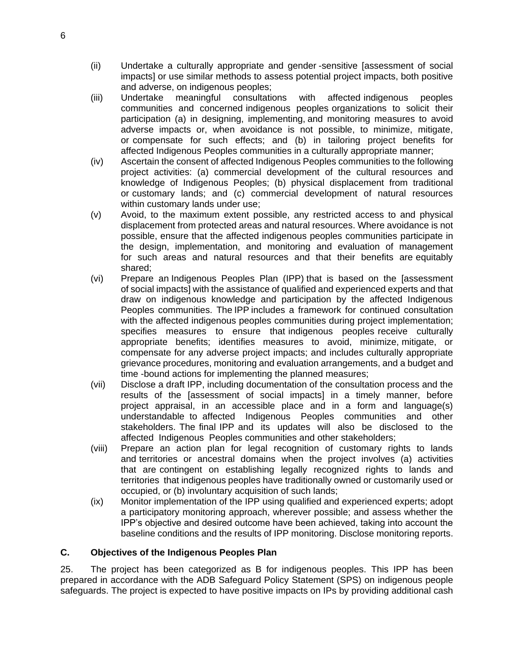- (ii) Undertake a culturally appropriate and gender -sensitive [assessment of social impacts] or use similar methods to assess potential project impacts, both positive and adverse, on indigenous peoples;
- (iii) Undertake meaningful consultations with affected indigenous peoples communities and concerned indigenous peoples organizations to solicit their participation (a) in designing, implementing, and monitoring measures to avoid adverse impacts or, when avoidance is not possible, to minimize, mitigate, or compensate for such effects; and (b) in tailoring project benefits for affected Indigenous Peoples communities in a culturally appropriate manner;
- (iv) Ascertain the consent of affected Indigenous Peoples communities to the following project activities: (a) commercial development of the cultural resources and knowledge of Indigenous Peoples; (b) physical displacement from traditional or customary lands; and (c) commercial development of natural resources within customary lands under use;
- (v) Avoid, to the maximum extent possible, any restricted access to and physical displacement from protected areas and natural resources. Where avoidance is not possible, ensure that the affected indigenous peoples communities participate in the design, implementation, and monitoring and evaluation of management for such areas and natural resources and that their benefits are equitably shared;
- (vi) Prepare an Indigenous Peoples Plan (IPP) that is based on the [assessment of social impacts] with the assistance of qualified and experienced experts and that draw on indigenous knowledge and participation by the affected Indigenous Peoples communities. The IPP includes a framework for continued consultation with the affected indigenous peoples communities during project implementation; specifies measures to ensure that indigenous peoples receive culturally appropriate benefits; identifies measures to avoid, minimize, mitigate, or compensate for any adverse project impacts; and includes culturally appropriate grievance procedures, monitoring and evaluation arrangements, and a budget and time -bound actions for implementing the planned measures;
- (vii) Disclose a draft IPP, including documentation of the consultation process and the results of the [assessment of social impacts] in a timely manner, before project appraisal, in an accessible place and in a form and language(s) understandable to affected Indigenous Peoples communities and other stakeholders. The final IPP and its updates will also be disclosed to the affected Indigenous Peoples communities and other stakeholders;
- (viii) Prepare an action plan for legal recognition of customary rights to lands and territories or ancestral domains when the project involves (a) activities that are contingent on establishing legally recognized rights to lands and territories that indigenous peoples have traditionally owned or customarily used or occupied, or (b) involuntary acquisition of such lands;
- (ix) Monitor implementation of the IPP using qualified and experienced experts; adopt a participatory monitoring approach, wherever possible; and assess whether the IPP's objective and desired outcome have been achieved, taking into account the baseline conditions and the results of IPP monitoring. Disclose monitoring reports.

# <span id="page-9-0"></span>**C. Objectives of the Indigenous Peoples Plan**

25. The project has been categorized as B for indigenous peoples. This IPP has been prepared in accordance with the ADB Safeguard Policy Statement (SPS) on indigenous people safeguards. The project is expected to have positive impacts on IPs by providing additional cash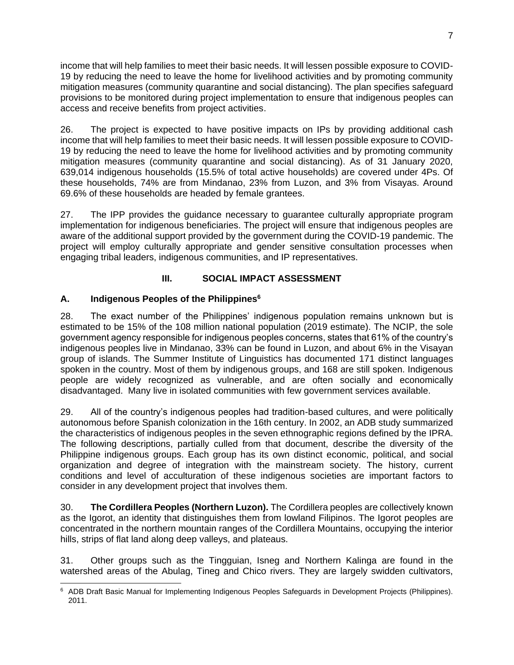income that will help families to meet their basic needs. It will lessen possible exposure to COVID-19 by reducing the need to leave the home for livelihood activities and by promoting community mitigation measures (community quarantine and social distancing). The plan specifies safeguard provisions to be monitored during project implementation to ensure that indigenous peoples can access and receive benefits from project activities.

26. The project is expected to have positive impacts on IPs by providing additional cash income that will help families to meet their basic needs. It will lessen possible exposure to COVID-19 by reducing the need to leave the home for livelihood activities and by promoting community mitigation measures (community quarantine and social distancing). As of 31 January 2020, 639,014 indigenous households (15.5% of total active households) are covered under 4Ps. Of these households, 74% are from Mindanao, 23% from Luzon, and 3% from Visayas. Around 69.6% of these households are headed by female grantees.

27. The IPP provides the guidance necessary to guarantee culturally appropriate program implementation for indigenous beneficiaries. The project will ensure that indigenous peoples are aware of the additional support provided by the government during the COVID-19 pandemic. The project will employ culturally appropriate and gender sensitive consultation processes when engaging tribal leaders, indigenous communities, and IP representatives.

#### **III. SOCIAL IMPACT ASSESSMENT**

#### <span id="page-10-1"></span><span id="page-10-0"></span>**A. Indigenous Peoples of the Philippines<sup>6</sup>**

28. The exact number of the Philippines' indigenous population remains unknown but is estimated to be 15% of the 108 million national population (2019 estimate). The NCIP, the sole government agency responsible for indigenous peoples concerns, states that 61% of the country's indigenous peoples live in Mindanao, 33% can be found in Luzon, and about 6% in the Visayan group of islands. The Summer Institute of Linguistics has documented 171 distinct languages spoken in the country. Most of them by indigenous groups, and 168 are still spoken. Indigenous people are widely recognized as vulnerable, and are often socially and economically disadvantaged. Many live in isolated communities with few government services available.

29. All of the country's indigenous peoples had tradition-based cultures, and were politically autonomous before Spanish colonization in the 16th century. In 2002, an ADB study summarized the characteristics of indigenous peoples in the seven ethnographic regions defined by the IPRA. The following descriptions, partially culled from that document, describe the diversity of the Philippine indigenous groups. Each group has its own distinct economic, political, and social organization and degree of integration with the mainstream society. The history, current conditions and level of acculturation of these indigenous societies are important factors to consider in any development project that involves them.

30. **The Cordillera Peoples (Northern Luzon).** The Cordillera peoples are collectively known as the Igorot, an identity that distinguishes them from lowland Filipinos. The Igorot peoples are concentrated in the northern mountain ranges of the Cordillera Mountains, occupying the interior hills, strips of flat land along deep valleys, and plateaus.

31. Other groups such as the Tingguian, Isneg and Northern Kalinga are found in the watershed areas of the Abulag, Tineg and Chico rivers. They are largely swidden cultivators,

<sup>6</sup> ADB Draft Basic Manual for Implementing Indigenous Peoples Safeguards in Development Projects (Philippines). 2011.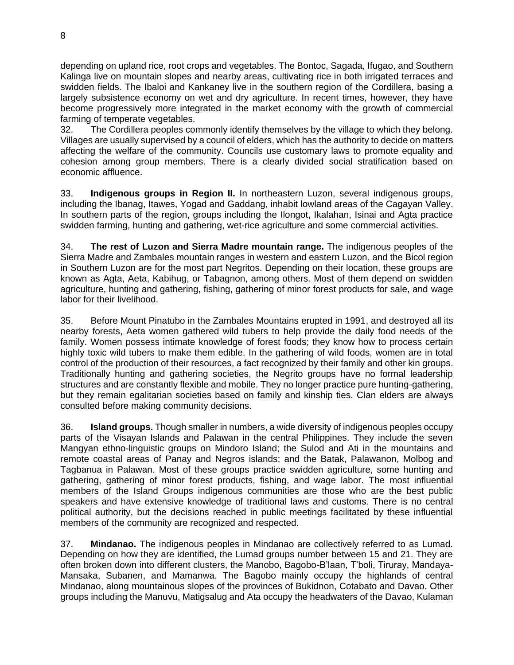depending on upland rice, root crops and vegetables. The Bontoc, Sagada, Ifugao, and Southern Kalinga live on mountain slopes and nearby areas, cultivating rice in both irrigated terraces and swidden fields. The Ibaloi and Kankaney live in the southern region of the Cordillera, basing a largely subsistence economy on wet and dry agriculture. In recent times, however, they have become progressively more integrated in the market economy with the growth of commercial farming of temperate vegetables.

32. The Cordillera peoples commonly identify themselves by the village to which they belong. Villages are usually supervised by a council of elders, which has the authority to decide on matters affecting the welfare of the community. Councils use customary laws to promote equality and cohesion among group members. There is a clearly divided social stratification based on economic affluence.

33. **Indigenous groups in Region II.** In northeastern Luzon, several indigenous groups, including the Ibanag, Itawes, Yogad and Gaddang, inhabit lowland areas of the Cagayan Valley. In southern parts of the region, groups including the Ilongot, Ikalahan, Isinai and Agta practice swidden farming, hunting and gathering, wet-rice agriculture and some commercial activities.

34. **The rest of Luzon and Sierra Madre mountain range.** The indigenous peoples of the Sierra Madre and Zambales mountain ranges in western and eastern Luzon, and the Bicol region in Southern Luzon are for the most part Negritos. Depending on their location, these groups are known as Agta, Aeta, Kabihug, or Tabagnon, among others. Most of them depend on swidden agriculture, hunting and gathering, fishing, gathering of minor forest products for sale, and wage labor for their livelihood.

35. Before Mount Pinatubo in the Zambales Mountains erupted in 1991, and destroyed all its nearby forests, Aeta women gathered wild tubers to help provide the daily food needs of the family. Women possess intimate knowledge of forest foods; they know how to process certain highly toxic wild tubers to make them edible. In the gathering of wild foods, women are in total control of the production of their resources, a fact recognized by their family and other kin groups. Traditionally hunting and gathering societies, the Negrito groups have no formal leadership structures and are constantly flexible and mobile. They no longer practice pure hunting-gathering, but they remain egalitarian societies based on family and kinship ties. Clan elders are always consulted before making community decisions.

36. **Island groups.** Though smaller in numbers, a wide diversity of indigenous peoples occupy parts of the Visayan Islands and Palawan in the central Philippines. They include the seven Mangyan ethno-linguistic groups on Mindoro Island; the Sulod and Ati in the mountains and remote coastal areas of Panay and Negros islands; and the Batak, Palawanon, Molbog and Tagbanua in Palawan. Most of these groups practice swidden agriculture, some hunting and gathering, gathering of minor forest products, fishing, and wage labor. The most influential members of the Island Groups indigenous communities are those who are the best public speakers and have extensive knowledge of traditional laws and customs. There is no central political authority, but the decisions reached in public meetings facilitated by these influential members of the community are recognized and respected.

37. **Mindanao.** The indigenous peoples in Mindanao are collectively referred to as Lumad. Depending on how they are identified, the Lumad groups number between 15 and 21. They are often broken down into different clusters, the Manobo, Bagobo-B'laan, T'boli, Tiruray, Mandaya-Mansaka, Subanen, and Mamanwa. The Bagobo mainly occupy the highlands of central Mindanao, along mountainous slopes of the provinces of Bukidnon, Cotabato and Davao. Other groups including the Manuvu, Matigsalug and Ata occupy the headwaters of the Davao, Kulaman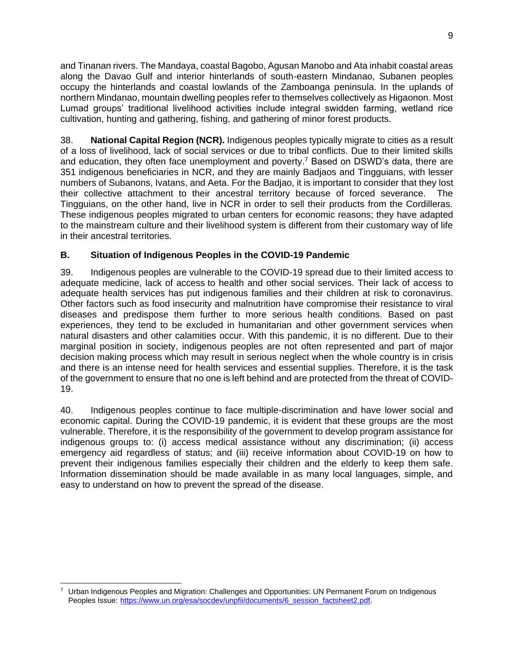and Tinanan rivers. The Mandaya, coastal Bagobo, Agusan Manobo and Ata inhabit coastal areas along the Davao Gulf and interior hinterlands of south-eastern Mindanao, Subanen peoples occupy the hinterlands and coastal lowlands of the Zamboanga peninsula. In the uplands of northern Mindanao, mountain dwelling peoples refer to themselves collectively as Higaonon. Most Lumad groups' traditional livelihood activities include integral swidden farming, wetland rice cultivation, hunting and gathering, fishing, and gathering of minor forest products.

38. **National Capital Region (NCR).** Indigenous peoples typically migrate to cities as a result of a loss of livelihood, lack of social services or due to tribal conflicts. Due to their limited skills and education, they often face unemployment and poverty.<sup>7</sup> Based on DSWD's data, there are 351 indigenous beneficiaries in NCR, and they are mainly Badjaos and Tingguians, with lesser numbers of Subanons, Ivatans, and Aeta. For the Badjao, it is important to consider that they lost their collective attachment to their ancestral territory because of forced severance. The Tingguians, on the other hand, live in NCR in order to sell their products from the Cordilleras. These indigenous peoples migrated to urban centers for economic reasons; they have adapted to the mainstream culture and their livelihood system is different from their customary way of life in their ancestral territories.

# <span id="page-12-0"></span>**B. Situation of Indigenous Peoples in the COVID-19 Pandemic**

39. Indigenous peoples are vulnerable to the COVID-19 spread due to their limited access to adequate medicine, lack of access to health and other social services. Their lack of access to adequate health services has put indigenous families and their children at risk to coronavirus. Other factors such as food insecurity and malnutrition have compromise their resistance to viral diseases and predispose them further to more serious health conditions. Based on past experiences, they tend to be excluded in humanitarian and other government services when natural disasters and other calamities occur. With this pandemic, it is no different. Due to their marginal position in society, indigenous peoples are not often represented and part of major decision making process which may result in serious neglect when the whole country is in crisis and there is an intense need for health services and essential supplies. Therefore, it is the task of the government to ensure that no one is left behind and are protected from the threat of COVID-19.

40. Indigenous peoples continue to face multiple-discrimination and have lower social and economic capital. During the COVID-19 pandemic, it is evident that these groups are the most vulnerable. Therefore, it is the responsibility of the government to develop program assistance for indigenous groups to: (i) access medical assistance without any discrimination; (ii) access emergency aid regardless of status; and (iii) receive information about COVID-19 on how to prevent their indigenous families especially their children and the elderly to keep them safe. Information dissemination should be made available in as many local languages, simple, and easy to understand on how to prevent the spread of the disease.

<sup>7</sup> Urban Indigenous Peoples and Migration: Challenges and Opportunities: UN Permanent Forum on Indigenous Peoples Issue: [https://www.un.org/esa/socdev/unpfii/documents/6\\_session\\_factsheet2.pdf.](https://www.un.org/esa/socdev/unpfii/documents/6_session_factsheet2.pdf)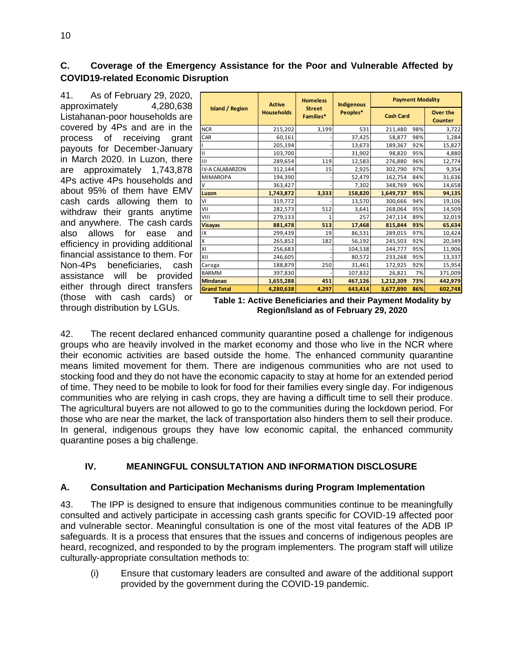# <span id="page-13-0"></span>**C. Coverage of the Emergency Assistance for the Poor and Vulnerable Affected by COVID19-related Economic Disruption**

41. As of February 29, 2020, approximately 4,280,638 Listahanan-poor households are covered by 4Ps and are in the process of receiving grant payouts for December-January in March 2020. In Luzon, there are approximately 1,743,878 4Ps active 4Ps households and about 95% of them have EMV cash cards allowing them to withdraw their grants anytime and anywhere. The cash cards also allows for ease and efficiency in providing additional financial assistance to them. For Non-4Ps beneficiaries, cash assistance will be provided either through direct transfers (those with cash cards) or through distribution by LGUs.

|                         | <b>Active</b>     | <b>Homeless</b>            | <b>Indigenous</b><br>Peoples* | <b>Payment Modality</b> |     |                     |
|-------------------------|-------------------|----------------------------|-------------------------------|-------------------------|-----|---------------------|
| Island / Region         | <b>Households</b> | <b>Street</b><br>Families* |                               | <b>Cash Card</b>        |     | Over the<br>Counter |
| <b>NCR</b>              | 215,202           | 3,199                      | 531                           | 211,480                 | 98% | 3,722               |
| CAR                     | 60,161            |                            | 37,425                        | 58,877                  | 98% | 1,284               |
| L                       | 205,194           |                            | 13,673                        | 189,367                 | 92% | 15,827              |
| $\mathbf H$             | 103,700           |                            | 31,902                        | 98,820                  | 95% | 4,880               |
| $\mathbf{III}$          | 289,654           | 119                        | 12,583                        | 276,880                 | 96% | 12,774              |
| <b>IV-A CALABARZON</b>  | 312,144           | 15                         | 2,925                         | 302,790                 | 97% | 9,354               |
| <b>MIMAROPA</b>         | 194,390           |                            | 52,479                        | 162,754                 | 84% | 31,636              |
| V                       | 363,427           |                            | 7,302                         | 348,769                 | 96% | 14,658              |
| Luzon                   | 1,743,872         | 3,333                      | 158,820                       | 1,649,737               | 95% | 94,135              |
| VI                      | 319,772           |                            | 13,570                        | 300,666                 | 94% | 19,106              |
| VII                     | 282,573           | 512                        | 3,641                         | 268,064                 | 95% | 14,509              |
| VIII                    | 279,133           |                            | 257                           | 247,114                 | 89% | 32,019              |
| <b>Visayas</b>          | 881,478           | 513                        | 17,468                        | 815,844                 | 93% | 65,634              |
| IX                      | 299,439           | 19                         | 86,531                        | 289,015                 | 97% | 10,424              |
| $\overline{\mathsf{X}}$ | 265,852           | 182                        | 56,192                        | 245,503                 | 92% | 20,349              |
| XI                      | 256,683           |                            | 104,538                       | 244,777                 | 95% | 11,906              |
| XII                     | 246,605           |                            | 80,572                        | 233,268                 | 95% | 13,337              |
| Caraga                  | 188,879           | 250                        | 31,461                        | 172,925                 | 92% | 15,954              |
| <b>BARMM</b>            | 397,830           |                            | 107,832                       | 26,821                  | 7%  | 371,009             |
| <b>Mindanao</b>         | 1,655,288         | 451                        | 467,126                       | 1,212,309               | 73% | 442,979             |
| <b>Grand Total</b>      | 4,280,638         | 4,297                      | 643,414                       | 3,677,890               | 86% | 602,748             |

**Table 1: Active Beneficiaries and their Payment Modality by Region/Island as of February 29, 2020**

42. The recent declared enhanced community quarantine posed a challenge for indigenous groups who are heavily involved in the market economy and those who live in the NCR where their economic activities are based outside the home. The enhanced community quarantine means limited movement for them. There are indigenous communities who are not used to stocking food and they do not have the economic capacity to stay at home for an extended period of time. They need to be mobile to look for food for their families every single day. For indigenous communities who are relying in cash crops, they are having a difficult time to sell their produce. The agricultural buyers are not allowed to go to the communities during the lockdown period. For those who are near the market, the lack of transportation also hinders them to sell their produce. In general, indigenous groups they have low economic capital, the enhanced community quarantine poses a big challenge.

# **IV. MEANINGFUL CONSULTATION AND INFORMATION DISCLOSURE**

#### <span id="page-13-2"></span><span id="page-13-1"></span>**A. Consultation and Participation Mechanisms during Program Implementation**

43. The IPP is designed to ensure that indigenous communities continue to be meaningfully consulted and actively participate in accessing cash grants specific for COVID-19 affected poor and vulnerable sector. Meaningful consultation is one of the most vital features of the ADB IP safeguards. It is a process that ensures that the issues and concerns of indigenous peoples are heard, recognized, and responded to by the program implementers. The program staff will utilize culturally-appropriate consultation methods to:

(i) Ensure that customary leaders are consulted and aware of the additional support provided by the government during the COVID-19 pandemic.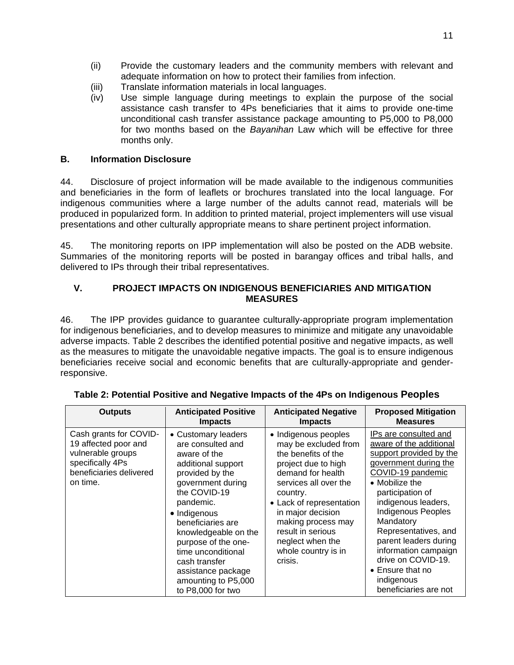- (ii) Provide the customary leaders and the community members with relevant and adequate information on how to protect their families from infection.
- (iii) Translate information materials in local languages.
- (iv) Use simple language during meetings to explain the purpose of the social assistance cash transfer to 4Ps beneficiaries that it aims to provide one-time unconditional cash transfer assistance package amounting to P5,000 to P8,000 for two months based on the *Bayanihan* Law which will be effective for three months only.

#### <span id="page-14-0"></span>**B. Information Disclosure**

44. Disclosure of project information will be made available to the indigenous communities and beneficiaries in the form of leaflets or brochures translated into the local language. For indigenous communities where a large number of the adults cannot read, materials will be produced in popularized form. In addition to printed material, project implementers will use visual presentations and other culturally appropriate means to share pertinent project information.

45. The monitoring reports on IPP implementation will also be posted on the ADB website. Summaries of the monitoring reports will be posted in barangay offices and tribal halls, and delivered to IPs through their tribal representatives.

#### <span id="page-14-1"></span>**V. PROJECT IMPACTS ON INDIGENOUS BENEFICIARIES AND MITIGATION MEASURES**

46. The IPP provides guidance to guarantee culturally-appropriate program implementation for indigenous beneficiaries, and to develop measures to minimize and mitigate any unavoidable adverse impacts. Table 2 describes the identified potential positive and negative impacts, as well as the measures to mitigate the unavoidable negative impacts. The goal is to ensure indigenous beneficiaries receive social and economic benefits that are culturally-appropriate and genderresponsive.

| <b>Outputs</b>                                                                                                                 | <b>Anticipated Positive</b>                                                                                                                                                                                                                                                                                                                      | <b>Anticipated Negative</b>                                                                                                                                                                                                                                                                            | <b>Proposed Mitigation</b>                                                                                                                                                                                                                                                                                                                                                                         |
|--------------------------------------------------------------------------------------------------------------------------------|--------------------------------------------------------------------------------------------------------------------------------------------------------------------------------------------------------------------------------------------------------------------------------------------------------------------------------------------------|--------------------------------------------------------------------------------------------------------------------------------------------------------------------------------------------------------------------------------------------------------------------------------------------------------|----------------------------------------------------------------------------------------------------------------------------------------------------------------------------------------------------------------------------------------------------------------------------------------------------------------------------------------------------------------------------------------------------|
|                                                                                                                                | <b>Impacts</b>                                                                                                                                                                                                                                                                                                                                   | <b>Impacts</b>                                                                                                                                                                                                                                                                                         | <b>Measures</b>                                                                                                                                                                                                                                                                                                                                                                                    |
| Cash grants for COVID-<br>19 affected poor and<br>vulnerable groups<br>specifically 4Ps<br>beneficiaries delivered<br>on time. | • Customary leaders<br>are consulted and<br>aware of the<br>additional support<br>provided by the<br>government during<br>the COVID-19<br>pandemic.<br>• Indigenous<br>beneficiaries are<br>knowledgeable on the<br>purpose of the one-<br>time unconditional<br>cash transfer<br>assistance package<br>amounting to P5,000<br>to P8,000 for two | • Indigenous peoples<br>may be excluded from<br>the benefits of the<br>project due to high<br>demand for health<br>services all over the<br>country.<br>• Lack of representation<br>in major decision<br>making process may<br>result in serious<br>neglect when the<br>whole country is in<br>crisis. | IPs are consulted and<br>aware of the additional<br>support provided by the<br>government during the<br>COVID-19 pandemic<br>$\bullet$ Mobilize the<br>participation of<br>indigenous leaders,<br><b>Indigenous Peoples</b><br>Mandatory<br>Representatives, and<br>parent leaders during<br>information campaign<br>drive on COVID-19.<br>• Ensure that no<br>indigenous<br>beneficiaries are not |

<span id="page-14-2"></span>**Table 2: Potential Positive and Negative Impacts of the 4Ps on Indigenous Peoples**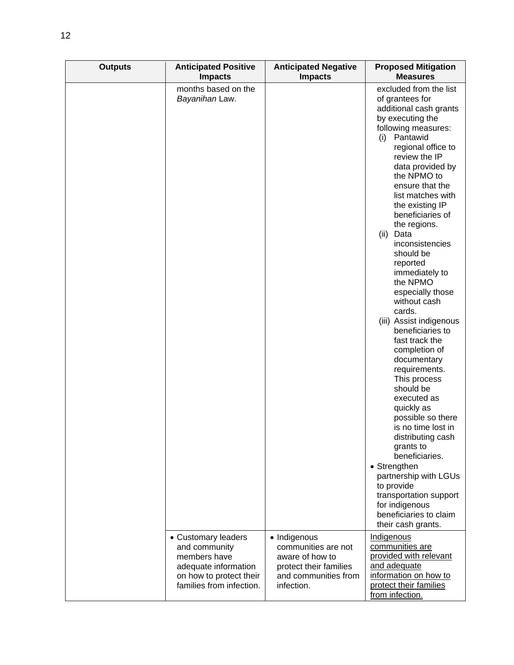| <b>Outputs</b> | <b>Anticipated Positive</b><br><b>Impacts</b>                                                                                       | <b>Anticipated Negative</b><br><b>Impacts</b>                                                                          | <b>Proposed Mitigation</b><br><b>Measures</b>                                                                                                                                                                                                                                                                                                                                                                                                                                                                                                                                                                                                                                                                                                                                                                                                                                    |
|----------------|-------------------------------------------------------------------------------------------------------------------------------------|------------------------------------------------------------------------------------------------------------------------|----------------------------------------------------------------------------------------------------------------------------------------------------------------------------------------------------------------------------------------------------------------------------------------------------------------------------------------------------------------------------------------------------------------------------------------------------------------------------------------------------------------------------------------------------------------------------------------------------------------------------------------------------------------------------------------------------------------------------------------------------------------------------------------------------------------------------------------------------------------------------------|
|                | months based on the<br>Bayanihan Law.                                                                                               |                                                                                                                        | excluded from the list<br>of grantees for<br>additional cash grants<br>by executing the<br>following measures:<br>Pantawid<br>(i)<br>regional office to<br>review the IP<br>data provided by<br>the NPMO to<br>ensure that the<br>list matches with<br>the existing IP<br>beneficiaries of<br>the regions.<br>Data<br>(ii)<br>inconsistencies<br>should be<br>reported<br>immediately to<br>the NPMO<br>especially those<br>without cash<br>cards.<br>(iii) Assist indigenous<br>beneficiaries to<br>fast track the<br>completion of<br>documentary<br>requirements.<br>This process<br>should be<br>executed as<br>quickly as<br>possible so there<br>is no time lost in<br>distributing cash<br>grants to<br>beneficiaries.<br>• Strengthen<br>partnership with LGUs<br>to provide<br>transportation support<br>for indigenous<br>beneficiaries to claim<br>their cash grants. |
|                | • Customary leaders<br>and community<br>members have<br>adequate information<br>on how to protect their<br>families from infection. | • Indigenous<br>communities are not<br>aware of how to<br>protect their families<br>and communities from<br>infection. | <b>Indigenous</b><br>communities are<br>provided with relevant<br>and adequate<br>information on how to<br>protect their families<br>from infection.                                                                                                                                                                                                                                                                                                                                                                                                                                                                                                                                                                                                                                                                                                                             |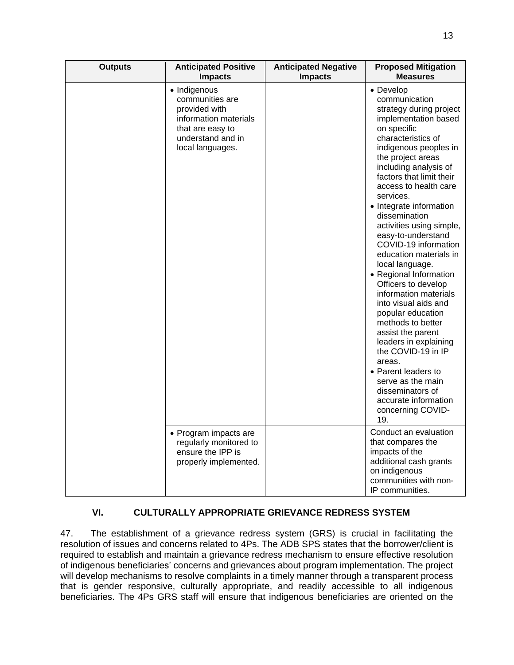| <b>Outputs</b> | <b>Anticipated Positive</b><br><b>Impacts</b>                                                                                          | <b>Anticipated Negative</b><br><b>Impacts</b> | <b>Proposed Mitigation</b><br><b>Measures</b>                                                                                                                                                                                                                                                                                                                                                                                                                                                                                                                                                                                                                                                                                                                                |
|----------------|----------------------------------------------------------------------------------------------------------------------------------------|-----------------------------------------------|------------------------------------------------------------------------------------------------------------------------------------------------------------------------------------------------------------------------------------------------------------------------------------------------------------------------------------------------------------------------------------------------------------------------------------------------------------------------------------------------------------------------------------------------------------------------------------------------------------------------------------------------------------------------------------------------------------------------------------------------------------------------------|
|                | · Indigenous<br>communities are<br>provided with<br>information materials<br>that are easy to<br>understand and in<br>local languages. |                                               | • Develop<br>communication<br>strategy during project<br>implementation based<br>on specific<br>characteristics of<br>indigenous peoples in<br>the project areas<br>including analysis of<br>factors that limit their<br>access to health care<br>services.<br>• Integrate information<br>dissemination<br>activities using simple,<br>easy-to-understand<br>COVID-19 information<br>education materials in<br>local language.<br>• Regional Information<br>Officers to develop<br>information materials<br>into visual aids and<br>popular education<br>methods to better<br>assist the parent<br>leaders in explaining<br>the COVID-19 in IP<br>areas.<br>• Parent leaders to<br>serve as the main<br>disseminators of<br>accurate information<br>concerning COVID-<br>19. |
|                | • Program impacts are<br>regularly monitored to<br>ensure the IPP is<br>properly implemented.                                          |                                               | Conduct an evaluation<br>that compares the<br>impacts of the<br>additional cash grants<br>on indigenous<br>communities with non-<br>IP communities.                                                                                                                                                                                                                                                                                                                                                                                                                                                                                                                                                                                                                          |

# **VI. CULTURALLY APPROPRIATE GRIEVANCE REDRESS SYSTEM**

<span id="page-16-0"></span>47. The establishment of a grievance redress system (GRS) is crucial in facilitating the resolution of issues and concerns related to 4Ps. The ADB SPS states that the borrower/client is required to establish and maintain a grievance redress mechanism to ensure effective resolution of indigenous beneficiaries' concerns and grievances about program implementation. The project will develop mechanisms to resolve complaints in a timely manner through a transparent process that is gender responsive, culturally appropriate, and readily accessible to all indigenous beneficiaries. The 4Ps GRS staff will ensure that indigenous beneficiaries are oriented on the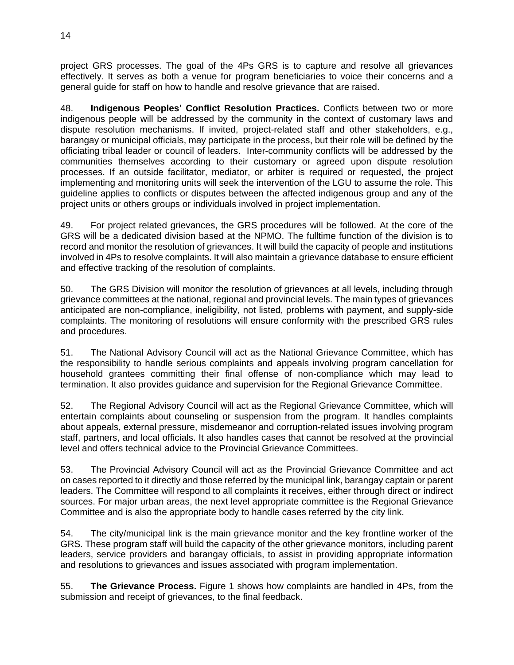project GRS processes. The goal of the 4Ps GRS is to capture and resolve all grievances effectively. It serves as both a venue for program beneficiaries to voice their concerns and a general guide for staff on how to handle and resolve grievance that are raised.

48. **Indigenous Peoples' Conflict Resolution Practices.** Conflicts between two or more indigenous people will be addressed by the community in the context of customary laws and dispute resolution mechanisms. If invited, project-related staff and other stakeholders, e.g., barangay or municipal officials, may participate in the process, but their role will be defined by the officiating tribal leader or council of leaders. Inter-community conflicts will be addressed by the communities themselves according to their customary or agreed upon dispute resolution processes. If an outside facilitator, mediator, or arbiter is required or requested, the project implementing and monitoring units will seek the intervention of the LGU to assume the role. This guideline applies to conflicts or disputes between the affected indigenous group and any of the project units or others groups or individuals involved in project implementation.

49. For project related grievances, the GRS procedures will be followed. At the core of the GRS will be a dedicated division based at the NPMO. The fulltime function of the division is to record and monitor the resolution of grievances. It will build the capacity of people and institutions involved in 4Ps to resolve complaints. It will also maintain a grievance database to ensure efficient and effective tracking of the resolution of complaints.

50. The GRS Division will monitor the resolution of grievances at all levels, including through grievance committees at the national, regional and provincial levels. The main types of grievances anticipated are non-compliance, ineligibility, not listed, problems with payment, and supply-side complaints. The monitoring of resolutions will ensure conformity with the prescribed GRS rules and procedures.

51. The National Advisory Council will act as the National Grievance Committee, which has the responsibility to handle serious complaints and appeals involving program cancellation for household grantees committing their final offense of non-compliance which may lead to termination. It also provides guidance and supervision for the Regional Grievance Committee.

52. The Regional Advisory Council will act as the Regional Grievance Committee, which will entertain complaints about counseling or suspension from the program. It handles complaints about appeals, external pressure, misdemeanor and corruption-related issues involving program staff, partners, and local officials. It also handles cases that cannot be resolved at the provincial level and offers technical advice to the Provincial Grievance Committees.

53. The Provincial Advisory Council will act as the Provincial Grievance Committee and act on cases reported to it directly and those referred by the municipal link, barangay captain or parent leaders. The Committee will respond to all complaints it receives, either through direct or indirect sources. For major urban areas, the next level appropriate committee is the Regional Grievance Committee and is also the appropriate body to handle cases referred by the city link.

54. The city/municipal link is the main grievance monitor and the key frontline worker of the GRS. These program staff will build the capacity of the other grievance monitors, including parent leaders, service providers and barangay officials, to assist in providing appropriate information and resolutions to grievances and issues associated with program implementation.

55. **The Grievance Process.** Figure 1 shows how complaints are handled in 4Ps, from the submission and receipt of grievances, to the final feedback.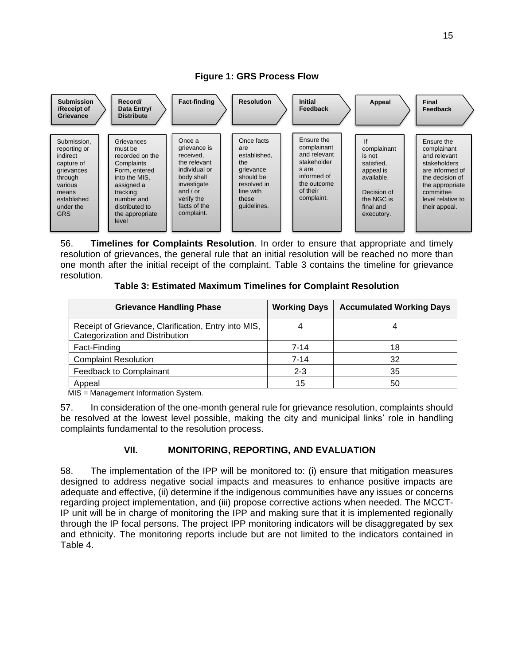

56. **Timelines for Complaints Resolution**. In order to ensure that appropriate and timely resolution of grievances, the general rule that an initial resolution will be reached no more than one month after the initial receipt of the complaint. Table 3 contains the timeline for grievance resolution.

**Table 3: Estimated Maximum Timelines for Complaint Resolution**

<span id="page-18-1"></span>

| <b>Grievance Handling Phase</b>                                                         | <b>Working Days</b> | <b>Accumulated Working Days</b> |
|-----------------------------------------------------------------------------------------|---------------------|---------------------------------|
| Receipt of Grievance, Clarification, Entry into MIS,<br>Categorization and Distribution |                     |                                 |
| Fact-Finding                                                                            | $7 - 14$            | 18                              |
| <b>Complaint Resolution</b>                                                             | $7 - 14$            | 32                              |
| Feedback to Complainant                                                                 | $2 - 3$             | 35                              |
| Appeal                                                                                  | 15                  | 50                              |

MIS = Management Information System.

57. In consideration of the one-month general rule for grievance resolution, complaints should be resolved at the lowest level possible, making the city and municipal links' role in handling complaints fundamental to the resolution process.

# **VII. MONITORING, REPORTING, AND EVALUATION**

<span id="page-18-0"></span>58. The implementation of the IPP will be monitored to: (i) ensure that mitigation measures designed to address negative social impacts and measures to enhance positive impacts are adequate and effective, (ii) determine if the indigenous communities have any issues or concerns regarding project implementation, and (iii) propose corrective actions when needed. The MCCT-IP unit will be in charge of monitoring the IPP and making sure that it is implemented regionally through the IP focal persons. The project IPP monitoring indicators will be disaggregated by sex and ethnicity. The monitoring reports include but are not limited to the indicators contained in Table 4.

# **Figure 1: GRS Process Flow**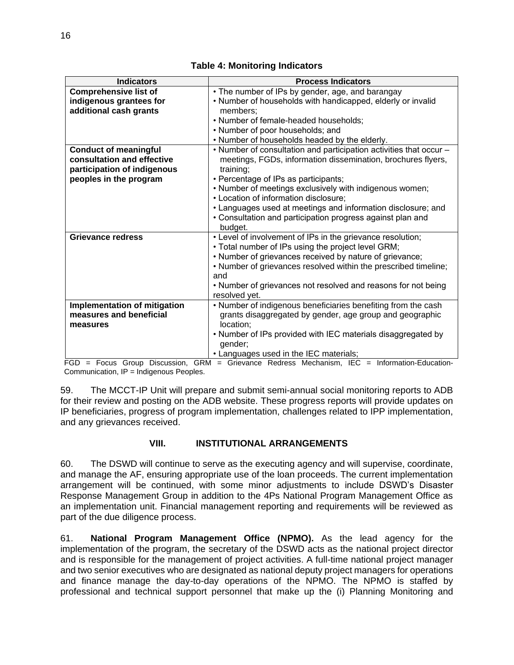<span id="page-19-1"></span>

| <b>Indicators</b>              | <b>Process Indicators</b>                                          |
|--------------------------------|--------------------------------------------------------------------|
| <b>Comprehensive list of</b>   | • The number of IPs by gender, age, and barangay                   |
| indigenous grantees for        | . Number of households with handicapped, elderly or invalid        |
| additional cash grants         | members;                                                           |
|                                | • Number of female-headed households;                              |
|                                | • Number of poor households; and                                   |
|                                | . Number of households headed by the elderly.                      |
| <b>Conduct of meaningful</b>   | . Number of consultation and participation activities that occur - |
| consultation and effective     | meetings, FGDs, information dissemination, brochures flyers,       |
| participation of indigenous    | training;                                                          |
| peoples in the program         | • Percentage of IPs as participants;                               |
|                                | • Number of meetings exclusively with indigenous women;            |
|                                | • Location of information disclosure;                              |
|                                | • Languages used at meetings and information disclosure; and       |
|                                | • Consultation and participation progress against plan and         |
|                                | budget.                                                            |
| Grievance redress              | • Level of involvement of IPs in the grievance resolution;         |
|                                | • Total number of IPs using the project level GRM;                 |
|                                | • Number of grievances received by nature of grievance;            |
|                                | . Number of grievances resolved within the prescribed timeline;    |
|                                | and                                                                |
|                                | • Number of grievances not resolved and reasons for not being      |
|                                | resolved yet.                                                      |
| Implementation of mitigation   | • Number of indigenous beneficiaries benefiting from the cash      |
| measures and beneficial        | grants disaggregated by gender, age group and geographic           |
| measures                       | location;                                                          |
|                                | • Number of IPs provided with IEC materials disaggregated by       |
|                                | gender;                                                            |
|                                | • Languages used in the IEC materials;                             |
| $FGD - Focus Groun$ Discussion | $GRM - Grievance$ Redress Mechanism $IFC - Information-Fducation$  |

**Table 4: Monitoring Indicators**

FGD = Focus Group Discussion, GRM = Grievance Redress Mechanism, IEC = Information-Education-Communication, IP = Indigenous Peoples.

59. The MCCT-IP Unit will prepare and submit semi-annual social monitoring reports to ADB for their review and posting on the ADB website. These progress reports will provide updates on IP beneficiaries, progress of program implementation, challenges related to IPP implementation, and any grievances received.

#### **VIII. INSTITUTIONAL ARRANGEMENTS**

<span id="page-19-0"></span>60. The DSWD will continue to serve as the executing agency and will supervise, coordinate, and manage the AF, ensuring appropriate use of the loan proceeds. The current implementation arrangement will be continued, with some minor adjustments to include DSWD's Disaster Response Management Group in addition to the 4Ps National Program Management Office as an implementation unit. Financial management reporting and requirements will be reviewed as part of the due diligence process.

61. **National Program Management Office (NPMO).** As the lead agency for the implementation of the program, the secretary of the DSWD acts as the national project director and is responsible for the management of project activities. A full-time national project manager and two senior executives who are designated as national deputy project managers for operations and finance manage the day-to-day operations of the NPMO. The NPMO is staffed by professional and technical support personnel that make up the (i) Planning Monitoring and